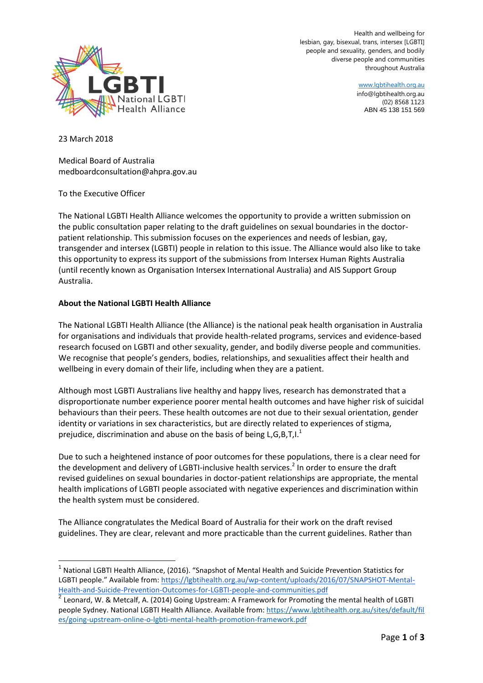

Health and wellbeing for lesbian, gay, bisexual, trans, intersex [LGBTI] people and sexuality, genders, and bodily diverse people and communities throughout Australia

> www.lgbtihealth.org.au info@lgbtihealth.org.au (02) 8568 1123 ABN 45 138 151 569

23 March 2018

l

Medical Board of Australia medboardconsultation@ahpra.gov.au

To the Executive Officer

The National LGBTI Health Alliance welcomes the opportunity to provide a written submission on the public consultation paper relating to the draft guidelines on sexual boundaries in the doctorpatient relationship. This submission focuses on the experiences and needs of lesbian, gay, transgender and intersex (LGBTI) people in relation to this issue. The Alliance would also like to take this opportunity to express its support of the submissions from Intersex Human Rights Australia (until recently known as Organisation Intersex International Australia) and AIS Support Group Australia.

## **About the National LGBTI Health Alliance**

The National LGBTI Health Alliance (the Alliance) is the national peak health organisation in Australia for organisations and individuals that provide health-related programs, services and evidence-based research focused on LGBTI and other sexuality, gender, and bodily diverse people and communities. We recognise that people's genders, bodies, relationships, and sexualities affect their health and wellbeing in every domain of their life, including when they are a patient.

Although most LGBTI Australians live healthy and happy lives, research has demonstrated that a disproportionate number experience poorer mental health outcomes and have higher risk of suicidal behaviours than their peers. These health outcomes are not due to their sexual orientation, gender identity or variations in sex characteristics, but are directly related to experiences of stigma, prejudice, discrimination and abuse on the basis of being L,G,B,T,I.<sup>1</sup>

Due to such a heightened instance of poor outcomes for these populations, there is a clear need for the development and delivery of LGBTI-inclusive health services.<sup>2</sup> In order to ensure the draft revised guidelines on sexual boundaries in doctor-patient relationships are appropriate, the mental health implications of LGBTI people associated with negative experiences and discrimination within the health system must be considered.

The Alliance congratulates the Medical Board of Australia for their work on the draft revised guidelines. They are clear, relevant and more practicable than the current guidelines. Rather than

<sup>&</sup>lt;sup>1</sup> National LGBTI Health Alliance, (2016). "Snapshot of Mental Health and Suicide Prevention Statistics for LGBTI people." Available from: [https://lgbtihealth.org.au/wp-content/uploads/2016/07/SNAPSHOT-Mental-](https://lgbtihealth.org.au/wp-content/uploads/2016/07/SNAPSHOT-Mental-Health-and-Suicide-Prevention-Outcomes-for-LGBTI-people-and-communities.pdf)[Health-and-Suicide-Prevention-Outcomes-for-LGBTI-people-and-communities.pdf](https://lgbtihealth.org.au/wp-content/uploads/2016/07/SNAPSHOT-Mental-Health-and-Suicide-Prevention-Outcomes-for-LGBTI-people-and-communities.pdf) 2

Leonard, W. & Metcalf, A. (2014) Going Upstream: A Framework for Promoting the mental health of LGBTI people Sydney. National LGBTI Health Alliance. Available from: [https://www.lgbtihealth.org.au/sites/default/fil](https://www.lgbtihealth.org.au/sites/default/files/going-upstream-online-o-lgbti-mental-health-promotion-framework.pdf) [es/going-upstream-online-o-lgbti-mental-health-promotion-framework.pdf](https://www.lgbtihealth.org.au/sites/default/files/going-upstream-online-o-lgbti-mental-health-promotion-framework.pdf)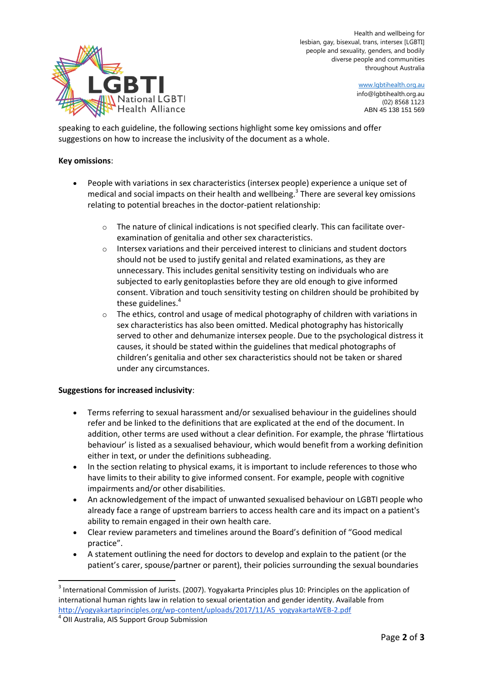

Health and wellbeing for lesbian, gay, bisexual, trans, intersex [LGBTI] people and sexuality, genders, and bodily diverse people and communities throughout Australia

> www.lgbtihealth.org.au info@lgbtihealth.org.au (02) 8568 1123 ABN 45 138 151 569

speaking to each guideline, the following sections highlight some key omissions and offer suggestions on how to increase the inclusivity of the document as a whole.

## **Key omissions**:

- People with variations in sex characteristics (intersex people) experience a unique set of medical and social impacts on their health and wellbeing.<sup>3</sup> There are several key omissions relating to potential breaches in the doctor-patient relationship:
	- $\circ$  The nature of clinical indications is not specified clearly. This can facilitate overexamination of genitalia and other sex characteristics.
	- $\circ$  Intersex variations and their perceived interest to clinicians and student doctors should not be used to justify genital and related examinations, as they are unnecessary. This includes genital sensitivity testing on individuals who are subjected to early genitoplasties before they are old enough to give informed consent. Vibration and touch sensitivity testing on children should be prohibited by these guidelines.<sup>4</sup>
	- $\circ$  The ethics, control and usage of medical photography of children with variations in sex characteristics has also been omitted. Medical photography has historically served to other and dehumanize intersex people. Due to the psychological distress it causes, it should be stated within the guidelines that medical photographs of children's genitalia and other sex characteristics should not be taken or shared under any circumstances.

## **Suggestions for increased inclusivity**:

- Terms referring to sexual harassment and/or sexualised behaviour in the guidelines should refer and be linked to the definitions that are explicated at the end of the document. In addition, other terms are used without a clear definition. For example, the phrase 'flirtatious behaviour' is listed as a sexualised behaviour, which would benefit from a working definition either in text, or under the definitions subheading.
- In the section relating to physical exams, it is important to include references to those who have limits to their ability to give informed consent. For example, people with cognitive impairments and/or other disabilities.
- An acknowledgement of the impact of unwanted sexualised behaviour on LGBTI people who already face a range of upstream barriers to access health care and its impact on a patient's ability to remain engaged in their own health care.
- Clear review parameters and timelines around the Board's definition of "Good medical practice".
- A statement outlining the need for doctors to develop and explain to the patient (or the patient's carer, spouse/partner or parent), their policies surrounding the sexual boundaries

 $^3$  International Commission of Jurists. (2007). Yogyakarta Principles plus 10: Principles on the application of international human rights law in relation to sexual orientation and gender identity. Available from [http://yogyakartaprinciples.org/wp-content/uploads/2017/11/A5\\_yogyakartaWEB-2.pdf](http://yogyakartaprinciples.org/wp-content/uploads/2017/11/A5_yogyakartaWEB-2.pdf)

<sup>4</sup> OII Australia, AIS Support Group Submission